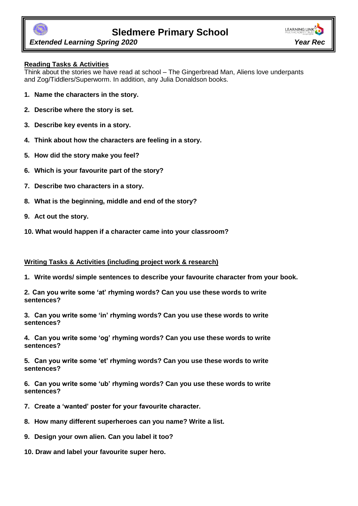

# **Sledmere Primary School**



 *Extended Learning Spring 2020 Year Rec*

## **Reading Tasks & Activities**

Think about the stories we have read at school – The Gingerbread Man, Aliens love underpants and Zog/Tiddlers/Superworm. In addition, any Julia Donaldson books.

- **1. Name the characters in the story.**
- **2. Describe where the story is set.**
- **3. Describe key events in a story.**
- **4. Think about how the characters are feeling in a story.**
- **5. How did the story make you feel?**
- **6. Which is your favourite part of the story?**
- **7. Describe two characters in a story.**
- **8. What is the beginning, middle and end of the story?**
- **9. Act out the story.**
- **10. What would happen if a character came into your classroom?**

#### **Writing Tasks & Activities (including project work & research)**

**1. Write words/ simple sentences to describe your favourite character from your book.** 

**2. Can you write some 'at' rhyming words? Can you use these words to write sentences?**

**3. Can you write some 'in' rhyming words? Can you use these words to write sentences?**

**4. Can you write some 'og' rhyming words? Can you use these words to write sentences?**

**5. Can you write some 'et' rhyming words? Can you use these words to write sentences?**

**6. Can you write some 'ub' rhyming words? Can you use these words to write sentences?**

- **7. Create a 'wanted' poster for your favourite character.**
- **8. How many different superheroes can you name? Write a list.**
- **9. Design your own alien. Can you label it too?**
- **10. Draw and label your favourite super hero.**